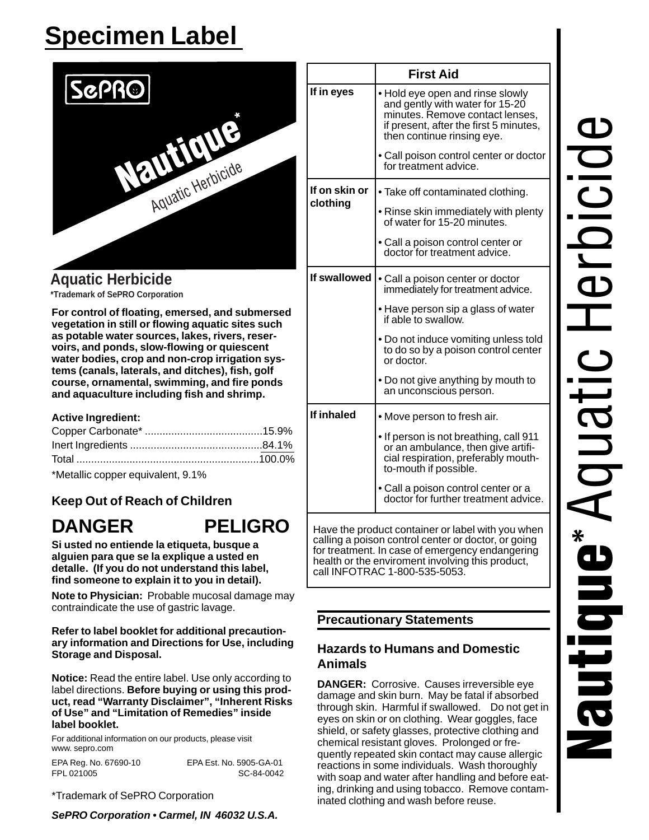# **Specimen Label**



**Aquatic Herbicide** \*Trademark of SePRO Corporation

For control of floating, emersed, and submersed vegetation in still or flowing aquatic sites such as potable water sources, lakes, rivers, reservoirs, and ponds, slow-flowing or quiescent water bodies, crop and non-crop irrigation systems (canals, laterals, and ditches), fish, golf course, ornamental, swimming, and fire ponds and aquaculture including fish and shrimp.

#### **Active Ingredient:**

**DANGER** 

\*Metallic copper equivalent, 9.1%

# **Keep Out of Reach of Children**

# **PELIGRO**

Si usted no entiende la etiqueta, busque a alquien para que se la explique a usted en detalle. (If you do not understand this label, find someone to explain it to you in detail).

Note to Physician: Probable mucosal damage may contraindicate the use of gastric lavage.

#### Refer to label booklet for additional precautionary information and Directions for Use, including **Storage and Disposal.**

**Notice:** Read the entire label. Use only according to label directions. Before buying or using this product, read "Warranty Disclaimer", "Inherent Risks of Use" and "Limitation of Remedies" inside label booklet.

For additional information on our products, please visit www.sepro.com

EPA Reg. No. 67690-10 EPA Est. No. 5905-GA-01 FPL 021005 SC-84-0042

\*Trademark of SePRO Corporation

SePRO Corporation . Carmel, IN 46032 U.S.A.

|               | <b>First Aid</b>                                                                                                                                                               |  |  |  |  |  |
|---------------|--------------------------------------------------------------------------------------------------------------------------------------------------------------------------------|--|--|--|--|--|
| If in eyes    | . Hold eye open and rinse slowly<br>and gently with water for 15-20<br>minutes. Remove contact lenses,<br>if present, after the first 5 minutes,<br>then continue rinsing eye. |  |  |  |  |  |
|               | • Call poison control center or doctor<br>for treatment advice.                                                                                                                |  |  |  |  |  |
| If on skin or | • Take off contaminated clothing.                                                                                                                                              |  |  |  |  |  |
| clothing      | • Rinse skin immediately with plenty<br>of water for 15-20 minutes.                                                                                                            |  |  |  |  |  |
|               | • Call a poison control center or<br>doctor for treatment advice.                                                                                                              |  |  |  |  |  |
| If swallowed  | • Call a poison center or doctor<br>immediately for treatment advice.                                                                                                          |  |  |  |  |  |
|               | • Have person sip a glass of water<br>if able to swallow.                                                                                                                      |  |  |  |  |  |
|               | • Do not induce vomiting unless told<br>to do so by a poison control center<br>or doctor.                                                                                      |  |  |  |  |  |
|               | • Do not give anything by mouth to<br>an unconscious person.                                                                                                                   |  |  |  |  |  |
| If inhaled    | • Move person to fresh air.                                                                                                                                                    |  |  |  |  |  |
|               | • If person is not breathing, call 911<br>or an ambulance, then give artifi-<br>cial respiration, preferably mouth-<br>to-mouth if possible.                                   |  |  |  |  |  |
|               | • Call a poison control center or a<br>doctor for further treatment advice.                                                                                                    |  |  |  |  |  |

for treatment. In case of emergency endangering health or the enviroment involving this product, call INFOTRAC 1-800-535-5053.

#### **Precautionary Statements**

## **Hazards to Humans and Domestic Animals**

**DANGER:** Corrosive. Causes irreversible eye damage and skin burn. May be fatal if absorbed through skin. Harmful if swallowed. Do not get in eyes on skin or on clothing. Wear goggles, face shield, or safety glasses, protective clothing and chemical resistant gloves. Prolonged or frequently repeated skin contact may cause allergic reactions in some individuals. Wash thoroughly with soap and water after handling and before eating, drinking and using tobacco. Remove contaminated clothing and wash before reuse.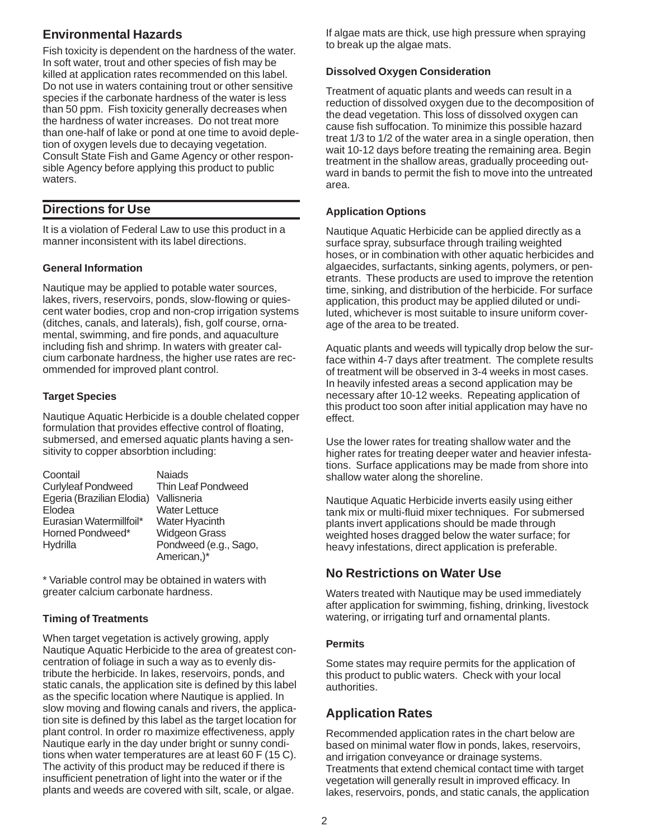# **Environmental Hazards**

Fish toxicity is dependent on the hardness of the water. In soft water, trout and other species of fish may be killed at application rates recommended on this label. Do not use in waters containing trout or other sensitive species if the carbonate hardness of the water is less than 50 ppm. Fish toxicity generally decreases when the hardness of water increases. Do not treat more than one-half of lake or pond at one time to avoid depletion of oxygen levels due to decaying vegetation. Consult State Fish and Game Agency or other responsible Agency before applying this product to public waters.

# **Directions for Use**

It is a violation of Federal Law to use this product in a manner inconsistent with its label directions.

#### **General Information**

Nautique may be applied to potable water sources, lakes, rivers, reservoirs, ponds, slow-flowing or quiescent water bodies, crop and non-crop irrigation systems (ditches, canals, and laterals), fish, golf course, ornamental, swimming, and fire ponds, and aquaculture including fish and shrimp. In waters with greater calcium carbonate hardness, the higher use rates are recommended for improved plant control.

#### **Target Species**

Nautique Aquatic Herbicide is a double chelated copper formulation that provides effective control of floating, submersed, and emersed aquatic plants having a sensitivity to copper absorbtion including:

| Coontail                  | <b>Najads</b>         |
|---------------------------|-----------------------|
| <b>Curlyleaf Pondweed</b> | Thin Leaf Pondweed    |
| Egeria (Brazilian Elodia) | Vallisneria           |
| Elodea                    | <b>Water Lettuce</b>  |
| Eurasian Watermillfoil*   | Water Hyacinth        |
| Horned Pondweed*          | <b>Widgeon Grass</b>  |
| Hydrilla                  | Pondweed (e.g., Sago, |
|                           | American,)*           |

\* Variable control may be obtained in waters with greater calcium carbonate hardness.

#### **Timing of Treatments**

When target vegetation is actively growing, apply Nautique Aquatic Herbicide to the area of greatest concentration of foliage in such a way as to evenly distribute the herbicide. In lakes, reservoirs, ponds, and static canals, the application site is defined by this label as the specific location where Nautique is applied. In slow moving and flowing canals and rivers, the application site is defined by this label as the target location for plant control. In order ro maximize effectiveness, apply Nautique early in the day under bright or sunny conditions when water temperatures are at least 60 F (15 C). The activity of this product may be reduced if there is insufficient penetration of light into the water or if the plants and weeds are covered with silt, scale, or algae.

If algae mats are thick, use high pressure when spraying to break up the algae mats.

#### **Dissolved Oxygen Consideration**

Treatment of aquatic plants and weeds can result in a reduction of dissolved oxygen due to the decomposition of the dead vegetation. This loss of dissolved oxygen can cause fish suffocation. To minimize this possible hazard treat 1/3 to 1/2 of the water area in a single operation, then wait 10-12 days before treating the remaining area. Begin treatment in the shallow areas, gradually proceeding outward in bands to permit the fish to move into the untreated area.

#### **Application Options**

Nautique Aquatic Herbicide can be applied directly as a surface spray, subsurface through trailing weighted hoses, or in combination with other aquatic herbicides and algaecides, surfactants, sinking agents, polymers, or penetrants. These products are used to improve the retention time, sinking, and distribution of the herbicide. For surface application, this product may be applied diluted or undiluted, whichever is most suitable to insure uniform coverage of the area to be treated.

Aquatic plants and weeds will typically drop below the surface within 4-7 days after treatment. The complete results of treatment will be observed in 3-4 weeks in most cases. In heavily infested areas a second application may be necessary after 10-12 weeks. Repeating application of this product too soon after initial application may have no effect.

Use the lower rates for treating shallow water and the higher rates for treating deeper water and heavier infestations. Surface applications may be made from shore into shallow water along the shoreline.

Nautique Aquatic Herbicide inverts easily using either tank mix or multi-fluid mixer techniques. For submersed plants invert applications should be made through weighted hoses dragged below the water surface; for heavy infestations, direct application is preferable.

# **No Restrictions on Water Use**

Waters treated with Nautique may be used immediately after application for swimming, fishing, drinking, livestock watering, or irrigating turf and ornamental plants.

#### **Permits**

Some states may require permits for the application of this product to public waters. Check with your local authorities.

# **Application Rates**

Recommended application rates in the chart below are based on minimal water flow in ponds, lakes, reservoirs, and irrigation conveyance or drainage systems. Treatments that extend chemical contact time with target vegetation will generally result in improved efficacy. In lakes, reservoirs, ponds, and static canals, the application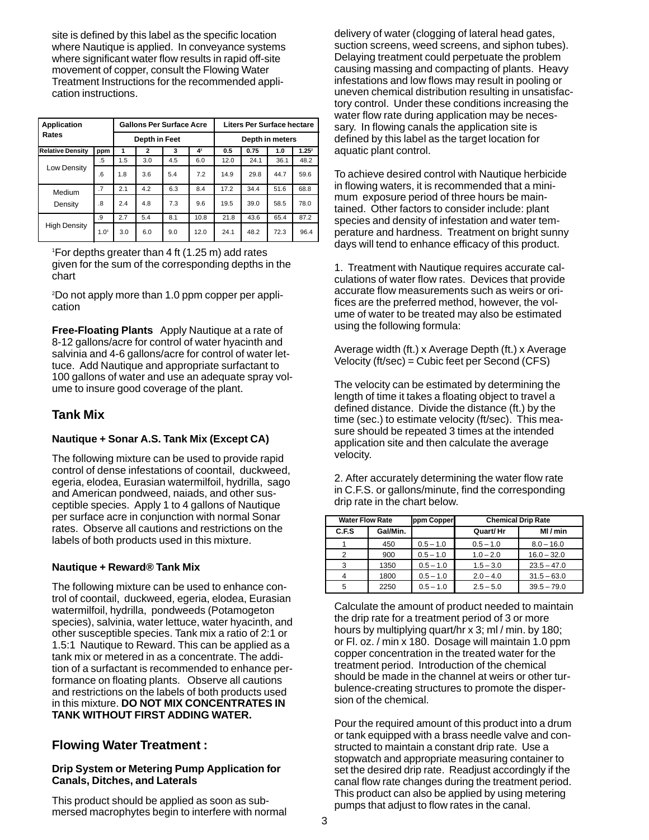site is defined by this label as the specific location where Nautique is applied. In conveyance systems where significant water flow results in rapid off-site movement of copper, consult the Flowing Water Treatment Instructions for the recommended application instructions.

| <b>Application</b><br>Rates |                  | <b>Gallons Per Surface Acre</b> |              |     | <b>Liters Per Surface hectare</b> |      |      |      |                   |
|-----------------------------|------------------|---------------------------------|--------------|-----|-----------------------------------|------|------|------|-------------------|
|                             |                  | Depth in Feet                   |              |     | Depth in meters                   |      |      |      |                   |
| <b>Relative Density</b>     | ppm              | 1                               | $\mathbf{2}$ | 3   | 42                                | 0.5  | 0.75 | 1.0  | 1.25 <sup>2</sup> |
| Low Density                 | .5               | 1.5                             | 3.0          | 4.5 | 6.0                               | 12.0 | 24.1 | 36.1 | 48.2              |
|                             | 6                | 1.8                             | 3.6          | 5.4 | 7.2                               | 14.9 | 29.8 | 44.7 | 59.6              |
| Medium                      | .7               | 2.1                             | 4.2          | 6.3 | 8.4                               | 17.2 | 34.4 | 51.6 | 68.8              |
| Density                     | .8               | 2.4                             | 4.8          | 7.3 | 9.6                               | 19.5 | 39.0 | 58.5 | 78.0              |
| <b>High Density</b>         | .9               | 2.7                             | 5.4          | 8.1 | 10.8                              | 21.8 | 43.6 | 65.4 | 87.2              |
|                             | 1.0 <sup>3</sup> | 3.0                             | 6.0          | 9.0 | 12.0                              | 24.1 | 48.2 | 72.3 | 96.4              |

1 For depths greater than 4 ft (1.25 m) add rates given for the sum of the corresponding depths in the chart

2 Do not apply more than 1.0 ppm copper per application

**Free-Floating Plants** Apply Nautique at a rate of 8-12 gallons/acre for control of water hyacinth and salvinia and 4-6 gallons/acre for control of water lettuce. Add Nautique and appropriate surfactant to 100 gallons of water and use an adequate spray volume to insure good coverage of the plant.

# **Tank Mix**

#### **Nautique + Sonar A.S. Tank Mix (Except CA)**

The following mixture can be used to provide rapid control of dense infestations of coontail, duckweed, egeria, elodea, Eurasian watermilfoil, hydrilla, sago and American pondweed, naiads, and other susceptible species. Apply 1 to 4 gallons of Nautique per surface acre in conjunction with normal Sonar rates. Observe all cautions and restrictions on the labels of both products used in this mixture.

#### **Nautique + Reward® Tank Mix**

The following mixture can be used to enhance control of coontail, duckweed, egeria, elodea, Eurasian watermilfoil, hydrilla, pondweeds (Potamogeton species), salvinia, water lettuce, water hyacinth, and other susceptible species. Tank mix a ratio of 2:1 or 1.5:1 Nautique to Reward. This can be applied as a tank mix or metered in as a concentrate. The addition of a surfactant is recommended to enhance performance on floating plants. Observe all cautions and restrictions on the labels of both products used in this mixture. **DO NOT MIX CONCENTRATES IN TANK WITHOUT FIRST ADDING WATER.**

#### **Flowing Water Treatment :**

#### **Drip System or Metering Pump Application for Canals, Ditches, and Laterals**

This product should be applied as soon as submersed macrophytes begin to interfere with normal

delivery of water (clogging of lateral head gates, suction screens, weed screens, and siphon tubes). Delaying treatment could perpetuate the problem causing massing and compacting of plants. Heavy infestations and low flows may result in pooling or uneven chemical distribution resulting in unsatisfactory control. Under these conditions increasing the water flow rate during application may be necessary. In flowing canals the application site is defined by this label as the target location for aquatic plant control.

To achieve desired control with Nautique herbicide in flowing waters, it is recommended that a minimum exposure period of three hours be maintained. Other factors to consider include: plant species and density of infestation and water temperature and hardness. Treatment on bright sunny days will tend to enhance efficacy of this product.

1. Treatment with Nautique requires accurate calculations of water flow rates. Devices that provide accurate flow measurements such as weirs or orifices are the preferred method, however, the volume of water to be treated may also be estimated using the following formula:

Average width (ft.) x Average Depth (ft.) x Average Velocity (ft/sec) = Cubic feet per Second (CFS)

The velocity can be estimated by determining the length of time it takes a floating object to travel a defined distance. Divide the distance (ft.) by the time (sec.) to estimate velocity (ft/sec). This measure should be repeated 3 times at the intended application site and then calculate the average velocity.

2. After accurately determining the water flow rate in C.F.S. or gallons/minute, find the corresponding drip rate in the chart below.

|       | <b>Water Flow Rate</b> |             | ppm Copper<br><b>Chemical Drip Rate</b> |               |
|-------|------------------------|-------------|-----------------------------------------|---------------|
| C.F.S | Gal/Min.               |             | Quart/Hr                                | MI/min        |
|       | 450                    | $0.5 - 1.0$ | $0.5 - 1.0$                             | $8.0 - 16.0$  |
|       | 900                    | $0.5 - 1.0$ | $1.0 - 2.0$                             | $16.0 - 32.0$ |
| 3     | 1350                   | $0.5 - 1.0$ | $1.5 - 3.0$                             | $23.5 - 47.0$ |
|       | 1800                   | $0.5 - 1.0$ | $2.0 - 4.0$                             | $31.5 - 63.0$ |
| 5     | 2250                   | $0.5 - 1.0$ | $2.5 - 5.0$                             | $39.5 - 79.0$ |

Calculate the amount of product needed to maintain the drip rate for a treatment period of 3 or more hours by multiplying quart/hr x 3; ml / min. by 180; or Fl. oz. / min x 180. Dosage will maintain 1.0 ppm copper concentration in the treated water for the treatment period. Introduction of the chemical should be made in the channel at weirs or other turbulence-creating structures to promote the dispersion of the chemical.

Pour the required amount of this product into a drum or tank equipped with a brass needle valve and constructed to maintain a constant drip rate. Use a stopwatch and appropriate measuring container to set the desired drip rate. Readjust accordingly if the canal flow rate changes during the treatment period. This product can also be applied by using metering pumps that adjust to flow rates in the canal.